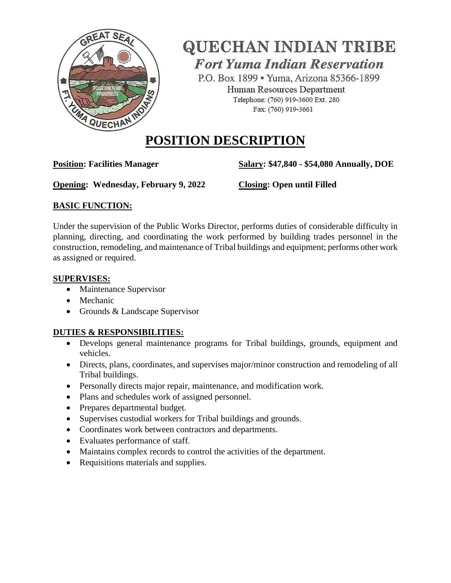

# **QUECHAN INDIAN TRIBE Fort Yuma Indian Reservation**

P.O. Box 1899 · Yuma, Arizona 85366-1899 Human Resources Department Telephone: (760) 919-3600 Ext. 280 Fax: (760) 919-3661

## **POSITION DESCRIPTION**

**Position: Facilities Manager Salary: \$47,840 - \$54,080 Annually, DOE**

**Opening: Wednesday, February 9, 2022 Closing: Open until Filled**

## **BASIC FUNCTION:**

Under the supervision of the Public Works Director, performs duties of considerable difficulty in planning, directing, and coordinating the work performed by building trades personnel in the construction, remodeling, and maintenance of Tribal buildings and equipment; performs other work as assigned or required.

### **SUPERVISES:**

- Maintenance Supervisor
- Mechanic
- Grounds & Landscape Supervisor

## **DUTIES & RESPONSIBILITIES:**

- Develops general maintenance programs for Tribal buildings, grounds, equipment and vehicles.
- Directs, plans, coordinates, and supervises major/minor construction and remodeling of all Tribal buildings.
- Personally directs major repair, maintenance, and modification work.
- Plans and schedules work of assigned personnel.
- Prepares departmental budget.
- Supervises custodial workers for Tribal buildings and grounds.
- Coordinates work between contractors and departments.
- Evaluates performance of staff.
- Maintains complex records to control the activities of the department.
- Requisitions materials and supplies.